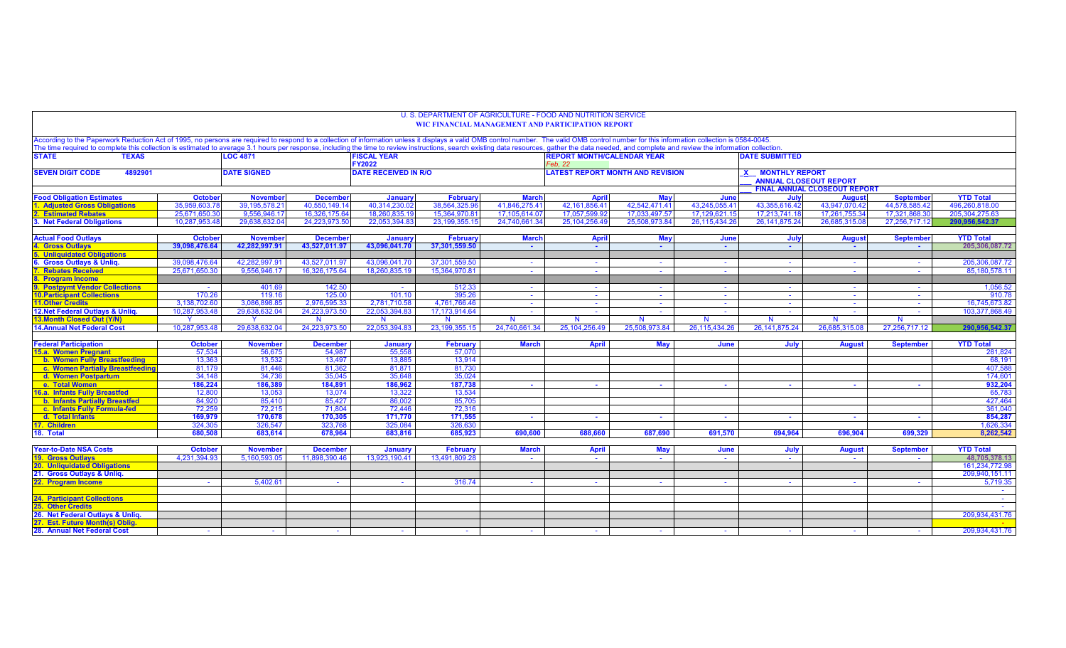|                                                                                                                                                                                                                                                                                                                                                                                                                                                                  |                                 |                                  |                                  |                              |                                         |                | U. S. DEPARTMENT OF AGRICULTURE - FOOD AND NUTRITION SERVICE<br><b>WIC FINANCIAL MANAGEMENT AND PARTICIPATION REPORT</b> |                                                                    |                |                       |                                     |                  |                          |
|------------------------------------------------------------------------------------------------------------------------------------------------------------------------------------------------------------------------------------------------------------------------------------------------------------------------------------------------------------------------------------------------------------------------------------------------------------------|---------------------------------|----------------------------------|----------------------------------|------------------------------|-----------------------------------------|----------------|--------------------------------------------------------------------------------------------------------------------------|--------------------------------------------------------------------|----------------|-----------------------|-------------------------------------|------------------|--------------------------|
| According to the Paperwork Reduction Act of 1995, no persons are required to respond to a collection of information unless it displays a valid OMB control number. The valid OMB control number for this information collectio<br>The time required to complete this collection is estimated to average 3.1 hours per response, including the time to review instructions, search existing data resources, gather the data needed, and complete and review the i |                                 |                                  |                                  |                              |                                         |                |                                                                                                                          |                                                                    |                |                       |                                     |                  |                          |
| <b>STATE</b><br><b>TEXAS</b>                                                                                                                                                                                                                                                                                                                                                                                                                                     |                                 | <b>LOC 4871</b>                  |                                  | <b>FISCAL YEAR</b><br>FY2022 |                                         |                | <b>REPORT MONTH/CALENDAR YEAR</b><br>Feb. 22                                                                             |                                                                    |                | <b>DATE SUBMITTED</b> |                                     |                  |                          |
| <b>SEVEN DIGIT CODE</b><br>4892901<br><b>DATE SIGNED</b>                                                                                                                                                                                                                                                                                                                                                                                                         |                                 | <b>DATE RECEIVED IN R/O</b>      |                                  |                              | <b>LATEST REPORT MONTH AND REVISION</b> |                |                                                                                                                          | <b>MONTHLY REPORT</b><br><b>X</b><br><b>ANNUAL CLOSEOUT REPORT</b> |                |                       |                                     |                  |                          |
|                                                                                                                                                                                                                                                                                                                                                                                                                                                                  |                                 |                                  |                                  |                              |                                         |                |                                                                                                                          |                                                                    |                |                       | <b>FINAL ANNUAL CLOSEOUT REPORT</b> |                  |                          |
| <b>Food Obligation Estimates</b>                                                                                                                                                                                                                                                                                                                                                                                                                                 | <b>October</b>                  | <b>November</b>                  | <b>December</b>                  | January                      | <b>February</b>                         | <b>March</b>   | <b>April</b>                                                                                                             | <b>May</b>                                                         | June           | July                  | <b>August</b>                       | <b>September</b> | <b>YTD Total</b>         |
| <b>Adjusted Gross Obligations</b>                                                                                                                                                                                                                                                                                                                                                                                                                                | 35.959.603.7                    | 39.195.578.21                    | 40.550.149.1                     | 40.314.230.0                 | 38.564.325.96                           | 41.846.275.41  | 42.161.856.41                                                                                                            | 42.542.471.41                                                      | 43,245,055.41  | 43.355.616.42         | 43.947.070.42                       | 44.578.585.42    | 496,260,818.00           |
| <b>Estimated Rebates</b>                                                                                                                                                                                                                                                                                                                                                                                                                                         | 25.671.650.3                    | 9.556.946.17                     | 16.326.175.64                    | 18.260.835.1                 | 15.364.970.81                           | 17.105.614.07  | 17.057.599.92                                                                                                            | 17.033.497.57                                                      | 17,129,621.15  | 17,213,741.18         | 17.261.755.34                       | 17.321.868.30    | 205.304.275.63           |
| 3. Net Federal Obligations                                                                                                                                                                                                                                                                                                                                                                                                                                       | 10.287.953.48                   | 29.638.632.04                    | 24.223.973.50                    | 22.053.394.83                | 23.199.355.15                           | 24.740.661.34  | 25.104.256.49                                                                                                            | 25.508.973.84                                                      | 26.115.434.26  | 26.141.875.24         | 26.685.315.08                       | 27,256,717.12    | 290.956.542.37           |
|                                                                                                                                                                                                                                                                                                                                                                                                                                                                  |                                 |                                  |                                  |                              |                                         |                |                                                                                                                          |                                                                    |                |                       |                                     |                  |                          |
| <b>Actual Food Outlays</b>                                                                                                                                                                                                                                                                                                                                                                                                                                       | <b>October</b><br>39,098,476.64 | <b>November</b><br>42.282.997.91 | <b>December</b><br>43.527.011.97 | January<br>43,096,041.70     | <b>February</b><br>37.301.559.50        | <b>March</b>   | <b>April</b>                                                                                                             | <b>May</b>                                                         | June           | July                  | <b>August</b>                       | <b>September</b> | <b>YTD Total</b>         |
| <b>Gross Outlays</b><br><b>Unliquidated Obligations</b>                                                                                                                                                                                                                                                                                                                                                                                                          |                                 |                                  |                                  |                              |                                         | <b>College</b> | $\sim$                                                                                                                   | <b>Section</b>                                                     | $\sim$         | <b>Section</b>        | $\sim$                              |                  | 205,306,087.72           |
| <b>Gross Outlays &amp; Unliq.</b>                                                                                                                                                                                                                                                                                                                                                                                                                                | 39,098,476.64                   | 42,282,997.91                    | 43.527.011.97                    | 43.096.041.70                | 37.301.559.50                           | $\sim 10$      | $\sim$                                                                                                                   | <b>Section</b>                                                     | $\sim$         | $\sim$                | $\sim$ $-$                          | <b>Section</b>   | 205,306,087.72           |
| <b>Rebates Received</b>                                                                                                                                                                                                                                                                                                                                                                                                                                          | 25.671.650.30                   | 9.556.946.17                     | 16.326.175.64                    | 18.260.835.19                | 15.364.970.81                           | $\sim$         | $\sim$                                                                                                                   | $\sim$                                                             | $\sim$         | $\sim$                | $\sim$                              | $\sim$           | 85,180,578.11            |
| <b>Program Income</b>                                                                                                                                                                                                                                                                                                                                                                                                                                            |                                 |                                  |                                  |                              |                                         |                |                                                                                                                          |                                                                    |                |                       |                                     |                  |                          |
| <b>Postpymt Vendor Collections</b>                                                                                                                                                                                                                                                                                                                                                                                                                               | $\sim$                          | 401.69                           | 142.50                           | $\sim$                       | 512.33                                  | $\sim$         | $\sim$                                                                                                                   | $\sim$                                                             | $\sim$         | $\sim$                | $\sim$                              | $\sim$           | 1,056.52                 |
| <b>10. Participant Collections</b>                                                                                                                                                                                                                                                                                                                                                                                                                               | 170.26                          | 119.16                           | 125.00                           | 101.10                       | 395.26                                  | $\sim$         | $\blacksquare$                                                                                                           | $\sim$                                                             | $\sim$         | $\sim$                | $\sim$                              | $\sim$           | 910.78                   |
| <b>11.Other Credits</b>                                                                                                                                                                                                                                                                                                                                                                                                                                          | 3.138.702.60                    | 3.086.898.85                     | 2.976.595.33                     | 2.781.710.58                 | 4.761.766.46                            | $\sim$         | $\sim$                                                                                                                   | $\sim$                                                             | $\sim$         | $\sim$                | $\sim$                              | $\sim$           | 16.745.673.82            |
| 12. Net Federal Outlays & Unliq.                                                                                                                                                                                                                                                                                                                                                                                                                                 | 10,287,953.48                   | 29.638.632.04                    | 24,223,973.50                    | 22,053,394.83                | 17,173,914.64                           | $\sim$         | $\sim$                                                                                                                   | $\sim$                                                             | $\sim$         | $\sim$                | $\sim$                              | $\sim$           | 103,377,868.49           |
| 13. Month Closed Out (Y/N)                                                                                                                                                                                                                                                                                                                                                                                                                                       | Y                               |                                  | <b>N</b>                         | $\mathbf N$                  | $\mathbf N$                             | $\mathbf N$    | N                                                                                                                        | $\mathbf N$                                                        | N              | N                     | $\mathbf N$                         | N                |                          |
| <b>14. Annual Net Federal Cost</b>                                                                                                                                                                                                                                                                                                                                                                                                                               | 10.287.953.48                   | 29.638.632.04                    | 24.223.973.50                    | 22.053.394.83                | 23.199.355.15                           | 24.740.661.34  | 25.104.256.49                                                                                                            | 25.508.973.84                                                      | 26,115,434.26  | 26.141.875.24         | 26.685.315.08                       | 27.256.717.12    | 290,956,542.37           |
|                                                                                                                                                                                                                                                                                                                                                                                                                                                                  |                                 |                                  |                                  |                              |                                         |                |                                                                                                                          |                                                                    |                |                       |                                     |                  |                          |
| <b>Federal Participation</b>                                                                                                                                                                                                                                                                                                                                                                                                                                     | <b>October</b>                  | <b>November</b>                  | <b>December</b>                  | January                      | <b>February</b>                         | <b>March</b>   | <b>April</b>                                                                                                             | <b>May</b>                                                         | June           | July                  | <b>August</b>                       | <b>September</b> | <b>YTD Total</b>         |
| 15.a. Women Pregnant                                                                                                                                                                                                                                                                                                                                                                                                                                             | 57,534                          | 56,675                           | 54,987                           | 55,558                       | 57,070                                  |                |                                                                                                                          |                                                                    |                |                       |                                     |                  | 281,824                  |
| b. Women Fully Breastfeeding                                                                                                                                                                                                                                                                                                                                                                                                                                     | 13.363                          | 13.532                           | 13.497                           | 13.885                       | 13.914                                  |                |                                                                                                                          |                                                                    |                |                       |                                     |                  | 68.191                   |
| c. Women Partially Breastfeeding                                                                                                                                                                                                                                                                                                                                                                                                                                 | 81,179                          | 81,446                           | 81,362                           | 81,871                       | 81,730                                  |                |                                                                                                                          |                                                                    |                |                       |                                     |                  | 407,588                  |
| d. Women Postpartum                                                                                                                                                                                                                                                                                                                                                                                                                                              | 34.148                          | 34.736                           | 35.045                           | 35.648                       | 35.024                                  |                |                                                                                                                          |                                                                    |                |                       |                                     |                  | 174.601                  |
| e. Total Women                                                                                                                                                                                                                                                                                                                                                                                                                                                   | 186,224                         | 186,389                          | 184,891                          | 186,962                      | 187,738                                 | a.             | $\sim$                                                                                                                   | $\sim$                                                             | . .            | . .                   | $\sim$                              | $\sim$           | 932,204                  |
| 16.a. Infants Fully Breastfed                                                                                                                                                                                                                                                                                                                                                                                                                                    | 12,800                          | 13,053                           | 13,074                           | 13,322                       | 13,534                                  |                |                                                                                                                          |                                                                    |                |                       |                                     |                  | 65,783                   |
| <b>b. Infants Partially Breastfed</b>                                                                                                                                                                                                                                                                                                                                                                                                                            | 84,920                          | 85,410                           | 85,427                           | 86,002                       | 85,705                                  |                |                                                                                                                          |                                                                    |                |                       |                                     |                  | 427,464                  |
| c. Infants Fully Formula-fed                                                                                                                                                                                                                                                                                                                                                                                                                                     | 72,259                          | 72.215                           | 71.804                           | 72,446                       | 72.316                                  |                |                                                                                                                          |                                                                    |                |                       |                                     |                  | 361,040                  |
| d. Total Infants                                                                                                                                                                                                                                                                                                                                                                                                                                                 | 169,979                         | 170.678                          | 170,305                          | 171.770                      | 171,555                                 | $\sim$         | $\sim$                                                                                                                   | <b>College</b>                                                     | <b>College</b> | . .                   | <b>COL</b>                          | $\sim$           | 854.287                  |
| 17. Children<br>18. Total                                                                                                                                                                                                                                                                                                                                                                                                                                        | 324,305<br>680,508              | 326.547<br>683,614               | 323,768<br>678,964               | 325.084<br>683.816           | 326,630<br>685.923                      | 690,600        | 688,660                                                                                                                  | 687,690                                                            | 691,570        | 694,964               | 696,904                             | 699,329          | 1,626,334<br>8.262.542   |
|                                                                                                                                                                                                                                                                                                                                                                                                                                                                  |                                 |                                  |                                  |                              |                                         |                |                                                                                                                          |                                                                    |                |                       |                                     |                  |                          |
| <b>Year-to-Date NSA Costs</b>                                                                                                                                                                                                                                                                                                                                                                                                                                    | <b>October</b>                  | <b>November</b>                  | <b>December</b>                  | January                      | <b>February</b>                         | <b>March</b>   | <b>April</b>                                                                                                             | <b>May</b>                                                         | June           | July                  | <b>August</b>                       | <b>September</b> | <b>YTD Total</b>         |
| <b>19. Gross Outlays</b>                                                                                                                                                                                                                                                                                                                                                                                                                                         | 4.231.394.93                    | 5.160.593.05                     | 11.898.390.46                    | 13.923.190.41                | 13.491.809.28                           | $\sim$         |                                                                                                                          |                                                                    |                | $\sim$                |                                     |                  | 48.705.378.13            |
| <b>20. Unliquidated Obligations</b>                                                                                                                                                                                                                                                                                                                                                                                                                              |                                 |                                  |                                  |                              |                                         |                |                                                                                                                          |                                                                    |                |                       |                                     |                  | 161,234,772.98           |
| 21. Gross Outlays & Unliq.                                                                                                                                                                                                                                                                                                                                                                                                                                       |                                 |                                  |                                  |                              |                                         |                |                                                                                                                          |                                                                    |                |                       |                                     |                  | 209,940,151.11           |
| 22. Program Income                                                                                                                                                                                                                                                                                                                                                                                                                                               |                                 | 5,402.61                         |                                  | $\sim$                       | 316.74                                  | $\sim$         |                                                                                                                          | $\sim$                                                             |                | $\sim$                | $\sim$                              | $\sim$           | 5,719.35                 |
|                                                                                                                                                                                                                                                                                                                                                                                                                                                                  |                                 |                                  |                                  |                              |                                         |                |                                                                                                                          |                                                                    |                |                       |                                     |                  | <b>Contract Contract</b> |
| <b>24. Participant Collections</b>                                                                                                                                                                                                                                                                                                                                                                                                                               |                                 |                                  |                                  |                              |                                         |                |                                                                                                                          |                                                                    |                |                       |                                     |                  | <b>Contract</b>          |
| 25. Other Credits                                                                                                                                                                                                                                                                                                                                                                                                                                                |                                 |                                  |                                  |                              |                                         |                |                                                                                                                          |                                                                    |                |                       |                                     |                  |                          |
| 26. Net Federal Outlays & Unlig.                                                                                                                                                                                                                                                                                                                                                                                                                                 |                                 |                                  |                                  |                              |                                         |                |                                                                                                                          |                                                                    |                |                       |                                     |                  | 209.934.431.76           |
| 27. Est. Future Month(s) Oblia.                                                                                                                                                                                                                                                                                                                                                                                                                                  |                                 |                                  |                                  |                              |                                         |                |                                                                                                                          |                                                                    |                |                       |                                     |                  |                          |
| 28. Annual Net Federal Cost                                                                                                                                                                                                                                                                                                                                                                                                                                      | $\sim$                          | $\sim$                           | $\sim$                           | $\sim$                       | <b>Section</b>                          | <b>Section</b> |                                                                                                                          | $\sim$                                                             |                | $\sim$                | $\sim$                              | $\sim$           | 209,934,431.76           |
|                                                                                                                                                                                                                                                                                                                                                                                                                                                                  |                                 |                                  |                                  |                              |                                         |                |                                                                                                                          |                                                                    |                |                       |                                     |                  |                          |